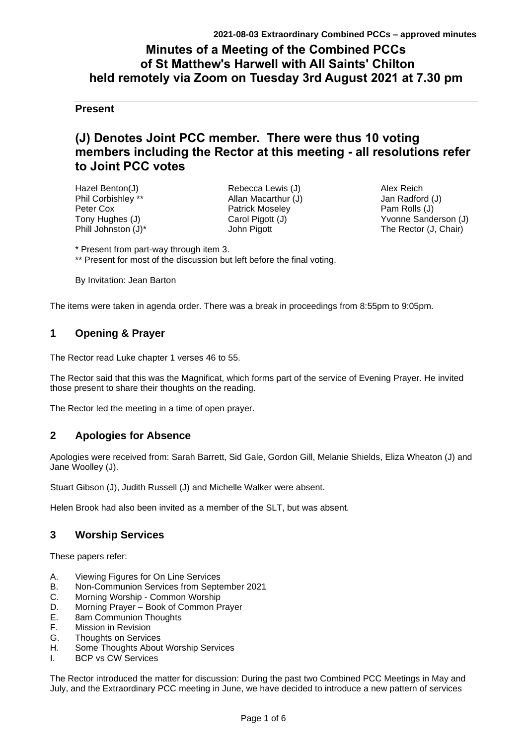# **Minutes of a Meeting of the Combined PCCs of St Matthew's Harwell with All Saints' Chilton held remotely via Zoom on Tuesday 3rd August 2021 at 7.30 pm**

# **Present**

# **(J) Denotes Joint PCC member. There were thus 10 voting members including the Rector at this meeting - all resolutions refer to Joint PCC votes**

| Hazel Benton(J)     |
|---------------------|
| Phil Corbishley **  |
| Peter Cox           |
| Tony Hughes (J)     |
| Phill Johnston (J)* |

Rebecca Lewis (J) Allan Macarthur (J) Patrick Moseley Carol Pigott (J) John Pigott

Alex Reich Jan Radford (J) Pam Rolls (J) Yvonne Sanderson (J) The Rector (J, Chair)

\* Present from part-way through item 3.

\*\* Present for most of the discussion but left before the final voting.

By Invitation: Jean Barton

The items were taken in agenda order. There was a break in proceedings from 8:55pm to 9:05pm.

# **1 Opening & Prayer**

The Rector read Luke chapter 1 verses 46 to 55.

The Rector said that this was the Magnificat, which forms part of the service of Evening Prayer. He invited those present to share their thoughts on the reading.

The Rector led the meeting in a time of open prayer.

# **2 Apologies for Absence**

Apologies were received from: Sarah Barrett, Sid Gale, Gordon Gill, Melanie Shields, Eliza Wheaton (J) and Jane Woolley (J).

Stuart Gibson (J), Judith Russell (J) and Michelle Walker were absent.

Helen Brook had also been invited as a member of the SLT, but was absent.

# **3 Worship Services**

These papers refer:

- A. Viewing Figures for On Line Services
- B. Non-Communion Services from September 2021
- C. Morning Worship Common Worship
- D. Morning Prayer Book of Common Prayer
- E. 8am Communion Thoughts
- F. Mission in Revision
- G. Thoughts on Services
- H. Some Thoughts About Worship Services
- I. BCP vs CW Services

The Rector introduced the matter for discussion: During the past two Combined PCC Meetings in May and July, and the Extraordinary PCC meeting in June, we have decided to introduce a new pattern of services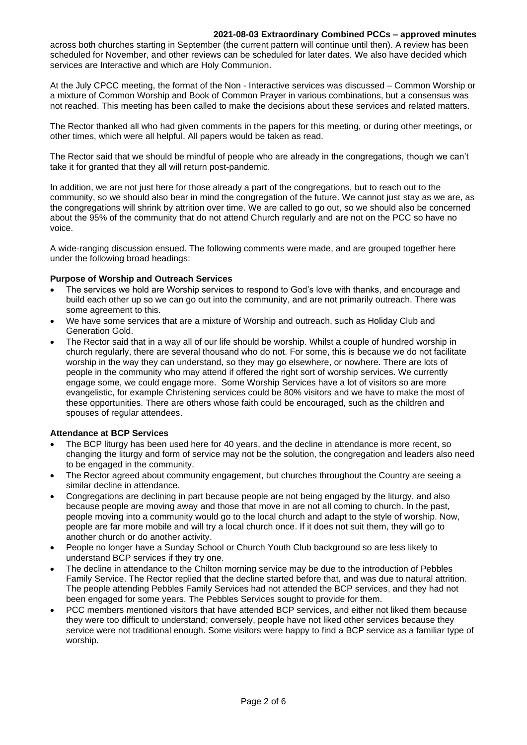#### **2021-08-03 Extraordinary Combined PCCs – approved minutes**

across both churches starting in September (the current pattern will continue until then). A review has been scheduled for November, and other reviews can be scheduled for later dates. We also have decided which services are Interactive and which are Holy Communion.

At the July CPCC meeting, the format of the Non - Interactive services was discussed – Common Worship or a mixture of Common Worship and Book of Common Prayer in various combinations, but a consensus was not reached. This meeting has been called to make the decisions about these services and related matters.

The Rector thanked all who had given comments in the papers for this meeting, or during other meetings, or other times, which were all helpful. All papers would be taken as read.

The Rector said that we should be mindful of people who are already in the congregations, though we can't take it for granted that they all will return post-pandemic.

In addition, we are not just here for those already a part of the congregations, but to reach out to the community, so we should also bear in mind the congregation of the future. We cannot just stay as we are, as the congregations will shrink by attrition over time. We are called to go out, so we should also be concerned about the 95% of the community that do not attend Church regularly and are not on the PCC so have no voice.

A wide-ranging discussion ensued. The following comments were made, and are grouped together here under the following broad headings:

### **Purpose of Worship and Outreach Services**

- The services we hold are Worship services to respond to God's love with thanks, and encourage and build each other up so we can go out into the community, and are not primarily outreach. There was some agreement to this.
- We have some services that are a mixture of Worship and outreach, such as Holiday Club and Generation Gold.
- The Rector said that in a way all of our life should be worship. Whilst a couple of hundred worship in church regularly, there are several thousand who do not. For some, this is because we do not facilitate worship in the way they can understand, so they may go elsewhere, or nowhere. There are lots of people in the community who may attend if offered the right sort of worship services. We currently engage some, we could engage more. Some Worship Services have a lot of visitors so are more evangelistic, for example Christening services could be 80% visitors and we have to make the most of these opportunities. There are others whose faith could be encouraged, such as the children and spouses of regular attendees.

### **Attendance at BCP Services**

- The BCP liturgy has been used here for 40 years, and the decline in attendance is more recent, so changing the liturgy and form of service may not be the solution, the congregation and leaders also need to be engaged in the community.
- The Rector agreed about community engagement, but churches throughout the Country are seeing a similar decline in attendance.
- Congregations are declining in part because people are not being engaged by the liturgy, and also because people are moving away and those that move in are not all coming to church. In the past, people moving into a community would go to the local church and adapt to the style of worship. Now, people are far more mobile and will try a local church once. If it does not suit them, they will go to another church or do another activity.
- People no longer have a Sunday School or Church Youth Club background so are less likely to understand BCP services if they try one.
- The decline in attendance to the Chilton morning service may be due to the introduction of Pebbles Family Service. The Rector replied that the decline started before that, and was due to natural attrition. The people attending Pebbles Family Services had not attended the BCP services, and they had not been engaged for some years. The Pebbles Services sought to provide for them.
- PCC members mentioned visitors that have attended BCP services, and either not liked them because they were too difficult to understand; conversely, people have not liked other services because they service were not traditional enough. Some visitors were happy to find a BCP service as a familiar type of worship.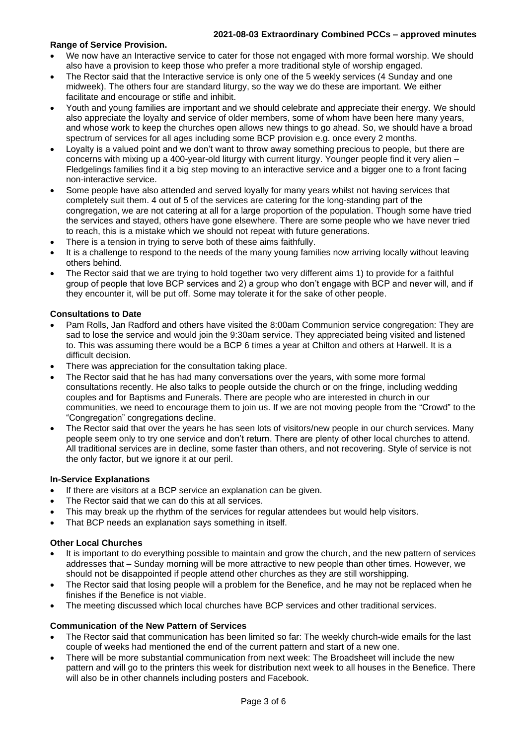#### **2021-08-03 Extraordinary Combined PCCs – approved minutes**

### **Range of Service Provision.**

- We now have an Interactive service to cater for those not engaged with more formal worship. We should also have a provision to keep those who prefer a more traditional style of worship engaged.
- The Rector said that the Interactive service is only one of the 5 weekly services (4 Sunday and one midweek). The others four are standard liturgy, so the way we do these are important. We either facilitate and encourage or stifle and inhibit.
- Youth and young families are important and we should celebrate and appreciate their energy. We should also appreciate the loyalty and service of older members, some of whom have been here many years, and whose work to keep the churches open allows new things to go ahead. So, we should have a broad spectrum of services for all ages including some BCP provision e.g. once every 2 months.
- Loyalty is a valued point and we don't want to throw away something precious to people, but there are concerns with mixing up a 400-year-old liturgy with current liturgy. Younger people find it very alien – Fledgelings families find it a big step moving to an interactive service and a bigger one to a front facing non-interactive service.
- Some people have also attended and served loyally for many years whilst not having services that completely suit them. 4 out of 5 of the services are catering for the long-standing part of the congregation, we are not catering at all for a large proportion of the population. Though some have tried the services and stayed, others have gone elsewhere. There are some people who we have never tried to reach, this is a mistake which we should not repeat with future generations.
- There is a tension in trying to serve both of these aims faithfully.
- It is a challenge to respond to the needs of the many young families now arriving locally without leaving others behind.
- The Rector said that we are trying to hold together two very different aims 1) to provide for a faithful group of people that love BCP services and 2) a group who don't engage with BCP and never will, and if they encounter it, will be put off. Some may tolerate it for the sake of other people.

### **Consultations to Date**

- Pam Rolls, Jan Radford and others have visited the 8:00am Communion service congregation: They are sad to lose the service and would join the 9:30am service. They appreciated being visited and listened to. This was assuming there would be a BCP 6 times a year at Chilton and others at Harwell. It is a difficult decision.
- There was appreciation for the consultation taking place.
- The Rector said that he has had many conversations over the years, with some more formal consultations recently. He also talks to people outside the church or on the fringe, including wedding couples and for Baptisms and Funerals. There are people who are interested in church in our communities, we need to encourage them to join us. If we are not moving people from the "Crowd" to the "Congregation" congregations decline.
- The Rector said that over the years he has seen lots of visitors/new people in our church services. Many people seem only to try one service and don't return. There are plenty of other local churches to attend. All traditional services are in decline, some faster than others, and not recovering. Style of service is not the only factor, but we ignore it at our peril.

### **In-Service Explanations**

- If there are visitors at a BCP service an explanation can be given.
- The Rector said that we can do this at all services.
- This may break up the rhythm of the services for regular attendees but would help visitors.
- That BCP needs an explanation says something in itself.

## **Other Local Churches**

- It is important to do everything possible to maintain and grow the church, and the new pattern of services addresses that – Sunday morning will be more attractive to new people than other times. However, we should not be disappointed if people attend other churches as they are still worshipping.
- The Rector said that losing people will a problem for the Benefice, and he may not be replaced when he finishes if the Benefice is not viable.
- The meeting discussed which local churches have BCP services and other traditional services.

### **Communication of the New Pattern of Services**

- The Rector said that communication has been limited so far: The weekly church-wide emails for the last couple of weeks had mentioned the end of the current pattern and start of a new one.
- There will be more substantial communication from next week: The Broadsheet will include the new pattern and will go to the printers this week for distribution next week to all houses in the Benefice. There will also be in other channels including posters and Facebook.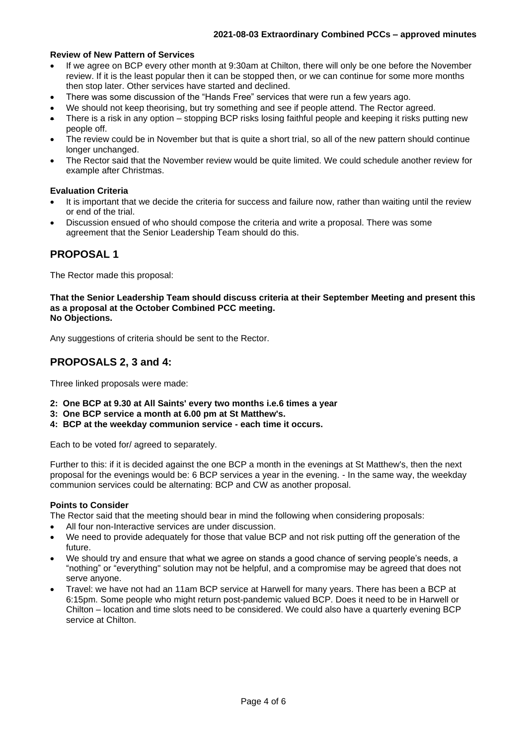### **Review of New Pattern of Services**

- If we agree on BCP every other month at 9:30am at Chilton, there will only be one before the November review. If it is the least popular then it can be stopped then, or we can continue for some more months then stop later. Other services have started and declined.
- There was some discussion of the "Hands Free" services that were run a few years ago.
- We should not keep theorising, but try something and see if people attend. The Rector agreed.
- There is a risk in any option stopping BCP risks losing faithful people and keeping it risks putting new people off.
- The review could be in November but that is quite a short trial, so all of the new pattern should continue longer unchanged.
- The Rector said that the November review would be quite limited. We could schedule another review for example after Christmas.

#### **Evaluation Criteria**

- It is important that we decide the criteria for success and failure now, rather than waiting until the review or end of the trial.
- Discussion ensued of who should compose the criteria and write a proposal. There was some agreement that the Senior Leadership Team should do this.

# **PROPOSAL 1**

The Rector made this proposal:

**That the Senior Leadership Team should discuss criteria at their September Meeting and present this as a proposal at the October Combined PCC meeting. No Objections.**

Any suggestions of criteria should be sent to the Rector.

# **PROPOSALS 2, 3 and 4:**

Three linked proposals were made:

- **2: One BCP at 9.30 at All Saints' every two months i.e.6 times a year**
- **3: One BCP service a month at 6.00 pm at St Matthew's.**
- **4: BCP at the weekday communion service - each time it occurs.**

Each to be voted for/ agreed to separately.

Further to this: if it is decided against the one BCP a month in the evenings at St Matthew's, then the next proposal for the evenings would be: 6 BCP services a year in the evening. - In the same way, the weekday communion services could be alternating: BCP and CW as another proposal.

#### **Points to Consider**

The Rector said that the meeting should bear in mind the following when considering proposals:

- All four non-Interactive services are under discussion.
- We need to provide adequately for those that value BCP and not risk putting off the generation of the future.
- We should try and ensure that what we agree on stands a good chance of serving people's needs, a "nothing" or "everything" solution may not be helpful, and a compromise may be agreed that does not serve anyone.
- Travel: we have not had an 11am BCP service at Harwell for many years. There has been a BCP at 6:15pm. Some people who might return post-pandemic valued BCP. Does it need to be in Harwell or Chilton – location and time slots need to be considered. We could also have a quarterly evening BCP service at Chilton.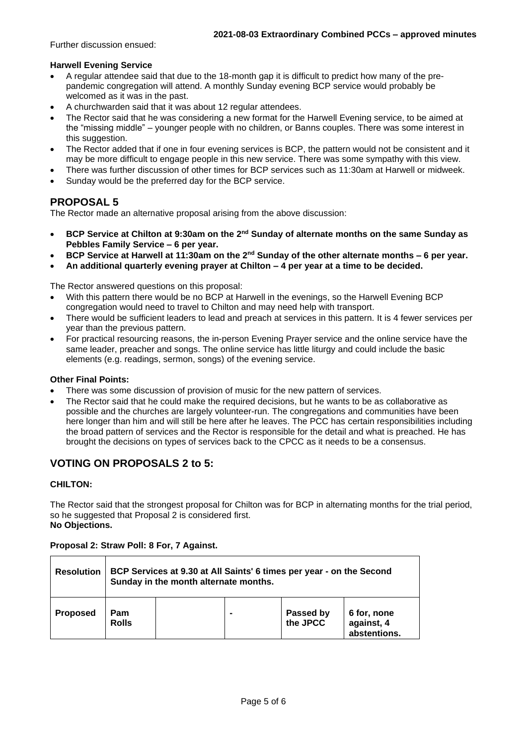Further discussion ensued:

#### **Harwell Evening Service**

- A regular attendee said that due to the 18-month gap it is difficult to predict how many of the prepandemic congregation will attend. A monthly Sunday evening BCP service would probably be welcomed as it was in the past.
- A churchwarden said that it was about 12 regular attendees.
- The Rector said that he was considering a new format for the Harwell Evening service, to be aimed at the "missing middle" – younger people with no children, or Banns couples. There was some interest in this suggestion.
- The Rector added that if one in four evening services is BCP, the pattern would not be consistent and it may be more difficult to engage people in this new service. There was some sympathy with this view.
- There was further discussion of other times for BCP services such as 11:30am at Harwell or midweek.
- Sunday would be the preferred day for the BCP service.

# **PROPOSAL 5**

The Rector made an alternative proposal arising from the above discussion:

- **BCP Service at Chilton at 9:30am on the 2nd Sunday of alternate months on the same Sunday as Pebbles Family Service – 6 per year.**
- **BCP Service at Harwell at 11:30am on the 2nd Sunday of the other alternate months – 6 per year.**
- **An additional quarterly evening prayer at Chilton – 4 per year at a time to be decided.**

The Rector answered questions on this proposal:

- With this pattern there would be no BCP at Harwell in the evenings, so the Harwell Evening BCP congregation would need to travel to Chilton and may need help with transport.
- There would be sufficient leaders to lead and preach at services in this pattern. It is 4 fewer services per year than the previous pattern.
- For practical resourcing reasons, the in-person Evening Prayer service and the online service have the same leader, preacher and songs. The online service has little liturgy and could include the basic elements (e.g. readings, sermon, songs) of the evening service.

### **Other Final Points:**

- There was some discussion of provision of music for the new pattern of services.
- The Rector said that he could make the required decisions, but he wants to be as collaborative as possible and the churches are largely volunteer-run. The congregations and communities have been here longer than him and will still be here after he leaves. The PCC has certain responsibilities including the broad pattern of services and the Rector is responsible for the detail and what is preached. He has brought the decisions on types of services back to the CPCC as it needs to be a consensus.

# **VOTING ON PROPOSALS 2 to 5:**

### **CHILTON:**

The Rector said that the strongest proposal for Chilton was for BCP in alternating months for the trial period, so he suggested that Proposal 2 is considered first. **No Objections.**

#### **Proposal 2: Straw Poll: 8 For, 7 Against.**

| <b>Resolution</b> | BCP Services at 9.30 at All Saints' 6 times per year - on the Second<br>Sunday in the month alternate months. |  |  |                       |                                           |  |  |
|-------------------|---------------------------------------------------------------------------------------------------------------|--|--|-----------------------|-------------------------------------------|--|--|
| <b>Proposed</b>   | Pam<br><b>Rolls</b>                                                                                           |  |  | Passed by<br>the JPCC | 6 for, none<br>against, 4<br>abstentions. |  |  |